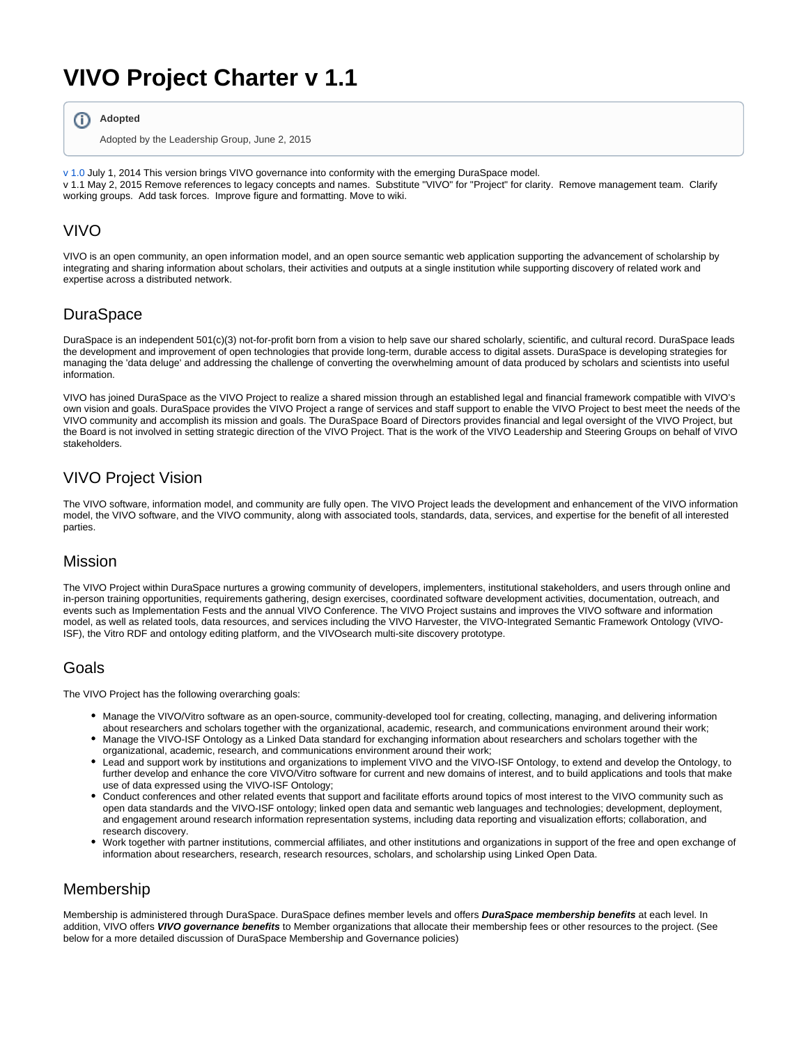# **VIVO Project Charter v 1.1**

**Adopted** ന

Adopted by the Leadership Group, June 2, 2015

[v 1.0](https://docs.google.com/document/d/1v9mZG8SG9AMfVaN_gJvxhiGB13FABAKAx03VNuQKAgg/edit) July 1, 2014 This version brings VIVO governance into conformity with the emerging DuraSpace model. v 1.1 May 2, 2015 Remove references to legacy concepts and names. Substitute "VIVO" for "Project" for clarity. Remove management team. Clarify working groups. Add task forces. Improve figure and formatting. Move to wiki.

## VIVO

VIVO is an open community, an open information model, and an open source semantic web application supporting the advancement of scholarship by integrating and sharing information about scholars, their activities and outputs at a single institution while supporting discovery of related work and expertise across a distributed network.

# **DuraSpace**

DuraSpace is an independent 501(c)(3) not-for-profit born from a vision to help save our shared scholarly, scientific, and cultural record. DuraSpace leads the development and improvement of open technologies that provide long-term, durable access to digital assets. DuraSpace is developing strategies for managing the 'data deluge' and addressing the challenge of converting the overwhelming amount of data produced by scholars and scientists into useful information.

VIVO has joined DuraSpace as the VIVO Project to realize a shared mission through an established legal and financial framework compatible with VIVO's own vision and goals. DuraSpace provides the VIVO Project a range of services and staff support to enable the VIVO Project to best meet the needs of the VIVO community and accomplish its mission and goals. The DuraSpace Board of Directors provides financial and legal oversight of the VIVO Project, but the Board is not involved in setting strategic direction of the VIVO Project. That is the work of the VIVO Leadership and Steering Groups on behalf of VIVO stakeholders.

# VIVO Project Vision

The VIVO software, information model, and community are fully open. The VIVO Project leads the development and enhancement of the VIVO information model, the VIVO software, and the VIVO community, along with associated tools, standards, data, services, and expertise for the benefit of all interested parties.

#### Mission

The VIVO Project within DuraSpace nurtures a growing community of developers, implementers, institutional stakeholders, and users through online and in-person training opportunities, requirements gathering, design exercises, coordinated software development activities, documentation, outreach, and events such as Implementation Fests and the annual VIVO Conference. The VIVO Project sustains and improves the VIVO software and information model, as well as related tools, data resources, and services including the VIVO Harvester, the VIVO-Integrated Semantic Framework Ontology (VIVO-ISF), the Vitro RDF and ontology editing platform, and the VIVOsearch multi-site discovery prototype.

# Goals

The VIVO Project has the following overarching goals:

- Manage the VIVO/Vitro software as an open-source, community-developed tool for creating, collecting, managing, and delivering information about researchers and scholars together with the organizational, academic, research, and communications environment around their work;
- Manage the VIVO-ISF Ontology as a Linked Data standard for exchanging information about researchers and scholars together with the organizational, academic, research, and communications environment around their work;
- Lead and support work by institutions and organizations to implement VIVO and the VIVO-ISF Ontology, to extend and develop the Ontology, to further develop and enhance the core VIVO/Vitro software for current and new domains of interest, and to build applications and tools that make use of data expressed using the VIVO-ISF Ontology;
- Conduct conferences and other related events that support and facilitate efforts around topics of most interest to the VIVO community such as open data standards and the VIVO-ISF ontology; linked open data and semantic web languages and technologies; development, deployment, and engagement around research information representation systems, including data reporting and visualization efforts; collaboration, and research discovery.
- Work together with partner institutions, commercial affiliates, and other institutions and organizations in support of the free and open exchange of information about researchers, research, research resources, scholars, and scholarship using Linked Open Data.

# Membership

Membership is administered through DuraSpace. DuraSpace defines member levels and offers **DuraSpace membership benefits** at each level. In addition, VIVO offers **VIVO governance benefits** to Member organizations that allocate their membership fees or other resources to the project. (See below for a more detailed discussion of DuraSpace Membership and Governance policies)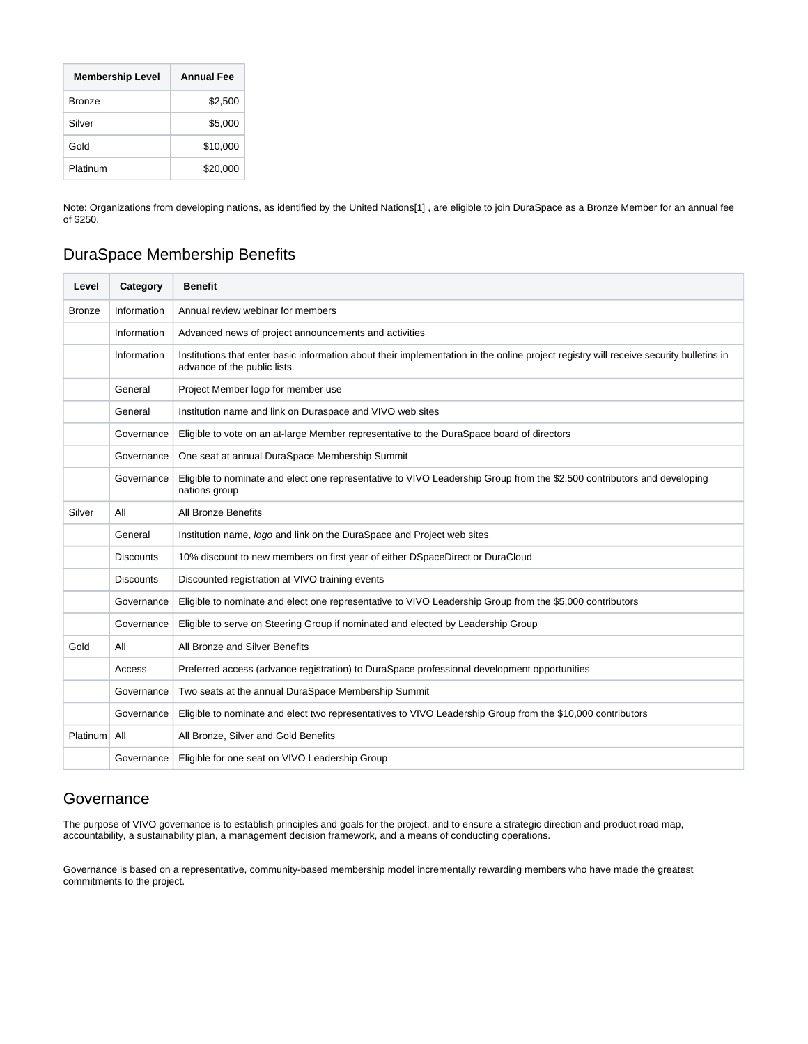| <b>Membership Level</b> | <b>Annual Fee</b> |
|-------------------------|-------------------|
| <b>Bronze</b>           | \$2,500           |
| Silver                  | \$5,000           |
| Gold                    | \$10,000          |
| Platinum                | \$20,000          |

Note: Organizations from developing nations, as identified by the United Nations[1] , are eligible to join DuraSpace as a Bronze Member for an annual fee of \$250.

# DuraSpace Membership Benefits

| Level         | Category         | <b>Benefit</b>                                                                                                                                                         |
|---------------|------------------|------------------------------------------------------------------------------------------------------------------------------------------------------------------------|
| <b>Bronze</b> | Information      | Annual review webinar for members                                                                                                                                      |
|               | Information      | Advanced news of project announcements and activities                                                                                                                  |
|               | Information      | Institutions that enter basic information about their implementation in the online project registry will receive security bulletins in<br>advance of the public lists. |
|               | General          | Project Member logo for member use                                                                                                                                     |
|               | General          | Institution name and link on Duraspace and VIVO web sites                                                                                                              |
|               | Governance       | Eligible to vote on an at-large Member representative to the DuraSpace board of directors                                                                              |
|               | Governance       | One seat at annual DuraSpace Membership Summit                                                                                                                         |
|               | Governance       | Eligible to nominate and elect one representative to VIVO Leadership Group from the \$2,500 contributors and developing<br>nations group                               |
| Silver        | All              | All Bronze Benefits                                                                                                                                                    |
|               | General          | Institution name, logo and link on the DuraSpace and Project web sites                                                                                                 |
|               | <b>Discounts</b> | 10% discount to new members on first year of either DSpaceDirect or DuraCloud                                                                                          |
|               | <b>Discounts</b> | Discounted registration at VIVO training events                                                                                                                        |
|               | Governance       | Eligible to nominate and elect one representative to VIVO Leadership Group from the \$5,000 contributors                                                               |
|               | Governance       | Eligible to serve on Steering Group if nominated and elected by Leadership Group                                                                                       |
| Gold          | All              | All Bronze and Silver Benefits                                                                                                                                         |
|               | Access           | Preferred access (advance registration) to DuraSpace professional development opportunities                                                                            |
|               | Governance       | Two seats at the annual DuraSpace Membership Summit                                                                                                                    |
|               | Governance       | Eligible to nominate and elect two representatives to VIVO Leadership Group from the \$10,000 contributors                                                             |
| Platinum      | All              | All Bronze, Silver and Gold Benefits                                                                                                                                   |
|               | Governance       | Eligible for one seat on VIVO Leadership Group                                                                                                                         |

# **Governance**

The purpose of VIVO governance is to establish principles and goals for the project, and to ensure a strategic direction and product road map, accountability, a sustainability plan, a management decision framework, and a means of conducting operations.

Governance is based on a representative, community-based membership model incrementally rewarding members who have made the greatest commitments to the project.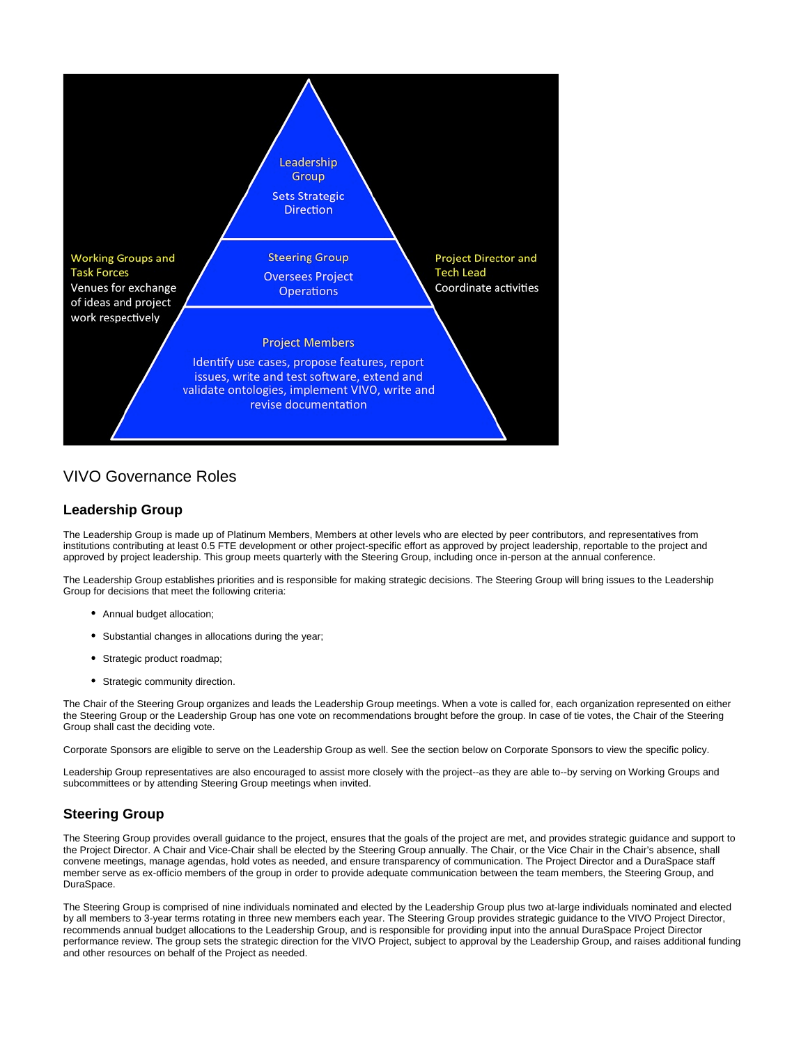

# VIVO Governance Roles

#### **Leadership Group**

The Leadership Group is made up of Platinum Members, Members at other levels who are elected by peer contributors, and representatives from institutions contributing at least 0.5 FTE development or other project-specific effort as approved by project leadership, reportable to the project and approved by project leadership. This group meets quarterly with the Steering Group, including once in-person at the annual conference.

The Leadership Group establishes priorities and is responsible for making strategic decisions. The Steering Group will bring issues to the Leadership Group for decisions that meet the following criteria:

- Annual budget allocation;
- Substantial changes in allocations during the year;
- Strategic product roadmap;
- Strategic community direction.

The Chair of the Steering Group organizes and leads the Leadership Group meetings. When a vote is called for, each organization represented on either the Steering Group or the Leadership Group has one vote on recommendations brought before the group. In case of tie votes, the Chair of the Steering Group shall cast the deciding vote.

Corporate Sponsors are eligible to serve on the Leadership Group as well. See the section below on Corporate Sponsors to view the specific policy.

Leadership Group representatives are also encouraged to assist more closely with the project--as they are able to--by serving on Working Groups and subcommittees or by attending Steering Group meetings when invited.

#### **Steering Group**

The Steering Group provides overall guidance to the project, ensures that the goals of the project are met, and provides strategic guidance and support to the Project Director. A Chair and Vice-Chair shall be elected by the Steering Group annually. The Chair, or the Vice Chair in the Chair's absence, shall convene meetings, manage agendas, hold votes as needed, and ensure transparency of communication. The Project Director and a DuraSpace staff member serve as ex-officio members of the group in order to provide adequate communication between the team members, the Steering Group, and DuraSpace.

The Steering Group is comprised of nine individuals nominated and elected by the Leadership Group plus two at-large individuals nominated and elected by all members to 3-year terms rotating in three new members each year. The Steering Group provides strategic guidance to the VIVO Project Director, recommends annual budget allocations to the Leadership Group, and is responsible for providing input into the annual DuraSpace Project Director performance review. The group sets the strategic direction for the VIVO Project, subject to approval by the Leadership Group, and raises additional funding and other resources on behalf of the Project as needed.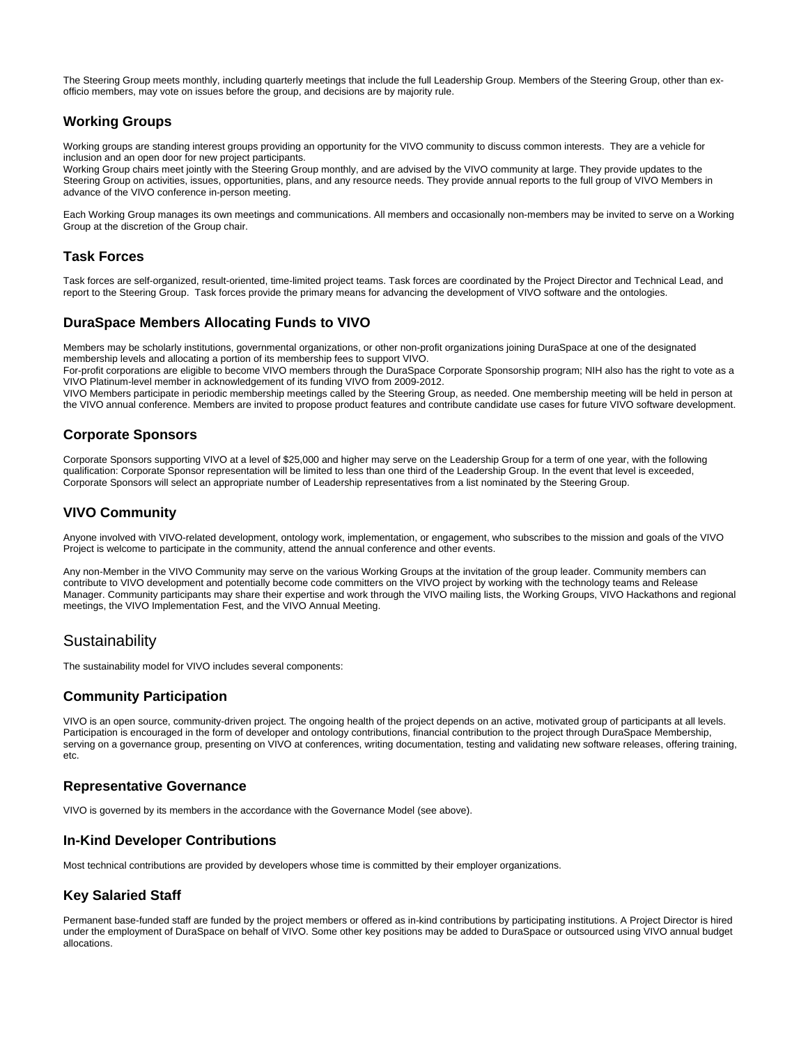The Steering Group meets monthly, including quarterly meetings that include the full Leadership Group. Members of the Steering Group, other than exofficio members, may vote on issues before the group, and decisions are by majority rule.

#### **Working Groups**

Working groups are standing interest groups providing an opportunity for the VIVO community to discuss common interests. They are a vehicle for inclusion and an open door for new project participants.

Working Group chairs meet jointly with the Steering Group monthly, and are advised by the VIVO community at large. They provide updates to the Steering Group on activities, issues, opportunities, plans, and any resource needs. They provide annual reports to the full group of VIVO Members in advance of the VIVO conference in-person meeting.

Each Working Group manages its own meetings and communications. All members and occasionally non-members may be invited to serve on a Working Group at the discretion of the Group chair.

#### **Task Forces**

Task forces are self-organized, result-oriented, time-limited project teams. Task forces are coordinated by the Project Director and Technical Lead, and report to the Steering Group. Task forces provide the primary means for advancing the development of VIVO software and the ontologies.

#### **DuraSpace Members Allocating Funds to VIVO**

Members may be scholarly institutions, governmental organizations, or other non-profit organizations joining DuraSpace at one of the designated membership levels and allocating a portion of its membership fees to support VIVO.

For-profit corporations are eligible to become VIVO members through the DuraSpace Corporate Sponsorship program; NIH also has the right to vote as a VIVO Platinum-level member in acknowledgement of its funding VIVO from 2009-2012.

VIVO Members participate in periodic membership meetings called by the Steering Group, as needed. One membership meeting will be held in person at the VIVO annual conference. Members are invited to propose product features and contribute candidate use cases for future VIVO software development.

#### **Corporate Sponsors**

Corporate Sponsors supporting VIVO at a level of \$25,000 and higher may serve on the Leadership Group for a term of one year, with the following qualification: Corporate Sponsor representation will be limited to less than one third of the Leadership Group. In the event that level is exceeded, Corporate Sponsors will select an appropriate number of Leadership representatives from a list nominated by the Steering Group.

### **VIVO Community**

Anyone involved with VIVO-related development, ontology work, implementation, or engagement, who subscribes to the mission and goals of the VIVO Project is welcome to participate in the community, attend the annual conference and other events.

Any non-Member in the VIVO Community may serve on the various Working Groups at the invitation of the group leader. Community members can contribute to VIVO development and potentially become code committers on the VIVO project by working with the technology teams and Release Manager. Community participants may share their expertise and work through the VIVO mailing lists, the Working Groups, VIVO Hackathons and regional meetings, the VIVO Implementation Fest, and the VIVO Annual Meeting.

# Sustainability

The sustainability model for VIVO includes several components:

#### **Community Participation**

VIVO is an open source, community-driven project. The ongoing health of the project depends on an active, motivated group of participants at all levels. Participation is encouraged in the form of developer and ontology contributions, financial contribution to the project through DuraSpace Membership, serving on a governance group, presenting on VIVO at conferences, writing documentation, testing and validating new software releases, offering training, etc.

#### **Representative Governance**

VIVO is governed by its members in the accordance with the Governance Model (see above).

#### **In-Kind Developer Contributions**

Most technical contributions are provided by developers whose time is committed by their employer organizations.

#### **Key Salaried Staff**

Permanent base-funded staff are funded by the project members or offered as in-kind contributions by participating institutions. A Project Director is hired under the employment of DuraSpace on behalf of VIVO. Some other key positions may be added to DuraSpace or outsourced using VIVO annual budget allocations.